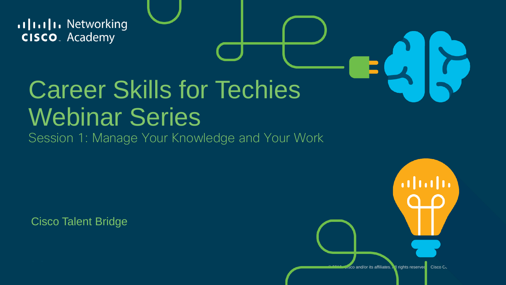allalla Networking **CISCO**. Academy

# Career Skills for Techies Webinar Series

Session 1: Manage Your Knowledge and Your Work

Cisco Talent Bridge

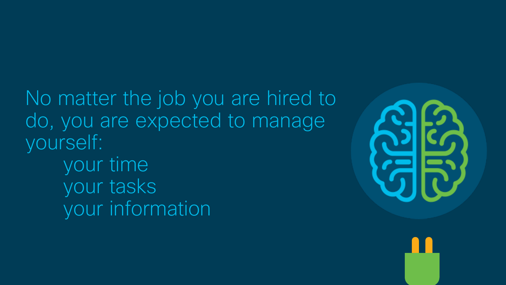No matter the job you are hired to do, you are expected to manage yourself: your time your tasks your information

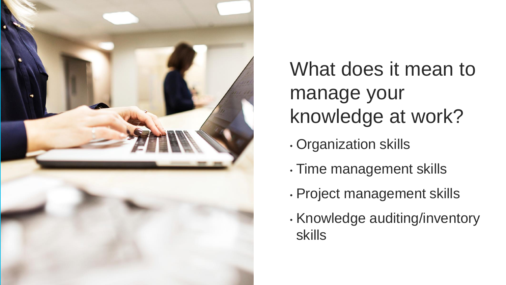

What does it mean to manage your knowledge at work?

- Organization skills
- Time management skills
- Project management skills
- Knowledge auditing/inventory skills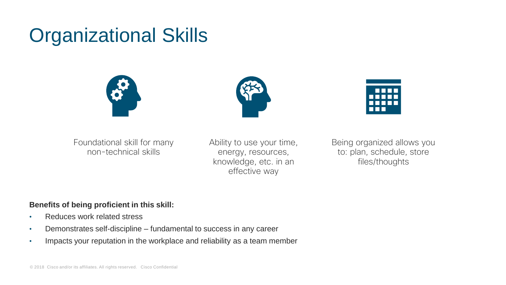### Organizational Skills







Foundational skill for many non-technical skills

Ability to use your time, energy, resources, knowledge, etc. in an effective way

Being organized allows you to: plan, schedule, store files/thoughts

#### **Benefits of being proficient in this skill:**

- Reduces work related stress
- Demonstrates self-discipline fundamental to success in any career
- Impacts your reputation in the workplace and reliability as a team member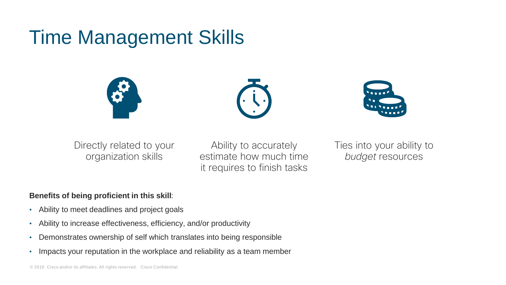## Time Management Skills







Directly related to your organization skills

Ability to accurately estimate how much time it requires to finish tasks

Ties into your ability to *budget* resources

#### **Benefits of being proficient in this skill**:

- Ability to meet deadlines and project goals
- Ability to increase effectiveness, efficiency, and/or productivity
- Demonstrates ownership of self which translates into being responsible
- Impacts your reputation in the workplace and reliability as a team member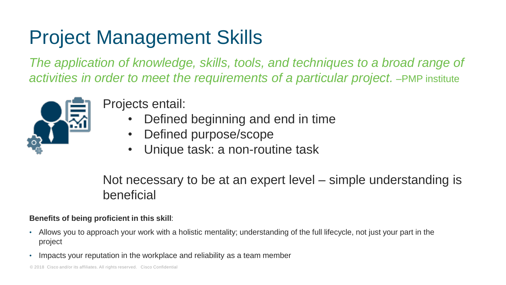# Project Management Skills

*The application of knowledge, skills, tools, and techniques to a broad range of activities in order to meet the requirements of a particular project.* –PMP institute



Projects entail:

- Defined beginning and end in time
- Defined purpose/scope
- Unique task: a non-routine task

Not necessary to be at an expert level – simple understanding is beneficial

#### **Benefits of being proficient in this skill**:

- Allows you to approach your work with a holistic mentality; understanding of the full lifecycle, not just your part in the project
- Impacts your reputation in the workplace and reliability as a team member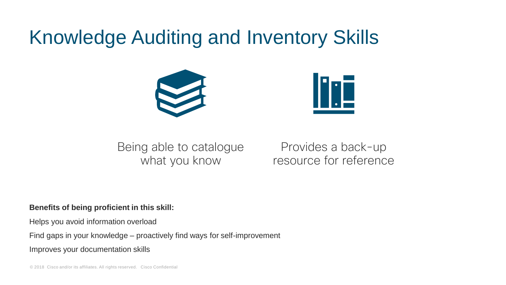### Knowledge Auditing and Inventory Skills





Being able to catalogue what you know

Provides a back-up resource for reference

#### **Benefits of being proficient in this skill:**

Helps you avoid information overload

Find gaps in your knowledge – proactively find ways for self-improvement

Improves your documentation skills

© 2018 Cisco and/or its affiliates. All rights reserved. Cisco Confidential